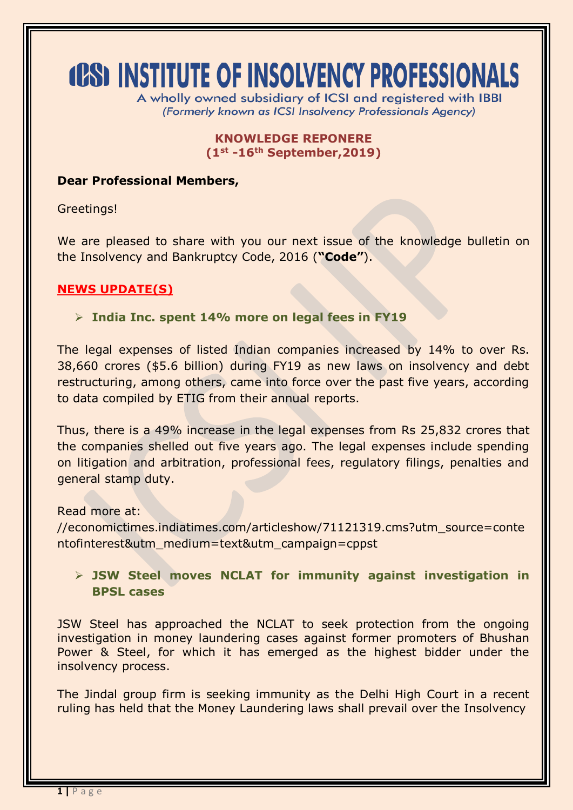# **(CS) INSTITUTE OF INSOLVENCY PROFESSIONALS**

A wholly owned subsidiary of ICSI and registered with IBBI (Formerly known as ICSI Insolvency Professionals Agency)

#### **KNOWLEDGE REPONERE (1st -16th September,2019)**

### **Dear Professional Members,**

Greetings!

We are pleased to share with you our next issue of the knowledge bulletin on the Insolvency and Bankruptcy Code, 2016 (**"Code"**).

## **NEWS UPDATE(S)**

### **India Inc. spent 14% more on legal fees in FY19**

The legal expenses of listed Indian companies increased by 14% to over Rs. 38,660 crores (\$5.6 billion) during FY19 as new laws on insolvency and debt restructuring, among others, came into force over the past five years, according to data compiled by ETIG from their annual reports.

Thus, there is a 49% increase in the legal expenses from Rs 25,832 crores that the companies shelled out five years ago. The legal expenses include spending on litigation and arbitration, professional fees, regulatory filings, penalties and general stamp duty.

Read more at:

//economictimes.indiatimes.com/articleshow/71121319.cms?utm\_source=conte ntofinterest&utm\_medium=text&utm\_campaign=cppst

## **JSW Steel moves NCLAT for immunity against investigation in BPSL cases**

JSW Steel has approached the NCLAT to seek protection from the ongoing investigation in money laundering cases against former promoters of Bhushan Power & Steel, for which it has emerged as the highest bidder under the insolvency process.

The Jindal group firm is seeking immunity as the Delhi High Court in a recent ruling has held that the Money Laundering laws shall prevail over the Insolvency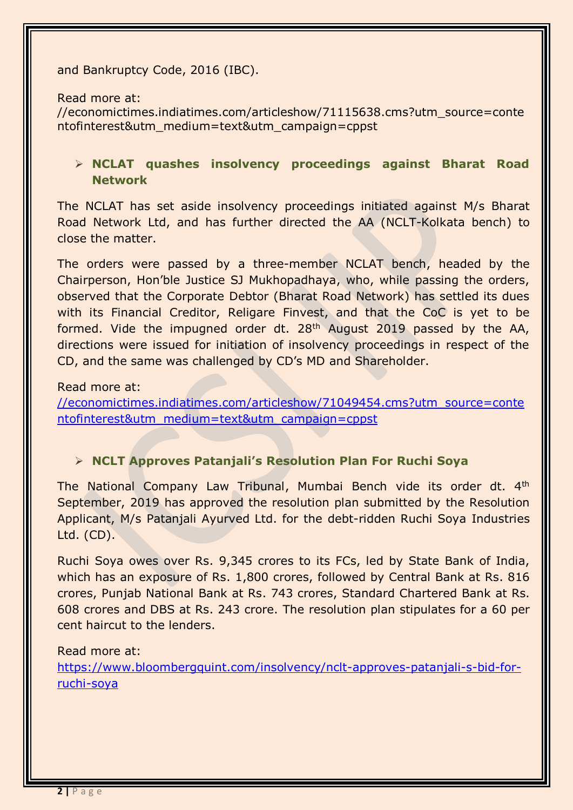#### and Bankruptcy Code, 2016 (IBC).

Read more at:

//economictimes.indiatimes.com/articleshow/71115638.cms?utm\_source=conte ntofinterest&utm\_medium=text&utm\_campaign=cppst

## **NCLAT quashes insolvency proceedings against Bharat Road Network**

The NCLAT has set aside insolvency proceedings initiated against M/s Bharat Road Network Ltd, and has further directed the AA (NCLT-Kolkata bench) to close the matter.

The orders were passed by a three-member NCLAT bench, headed by the Chairperson, Hon'ble Justice SJ Mukhopadhaya, who, while passing the orders, observed that the Corporate Debtor (Bharat Road Network) has settled its dues with its Financial Creditor, Religare Finvest, and that the CoC is yet to be formed. Vide the impugned order dt. 28<sup>th</sup> August 2019 passed by the AA, directions were issued for initiation of insolvency proceedings in respect of the CD, and the same was challenged by CD's MD and Shareholder.

### Read more at:

[//economictimes.indiatimes.com/articleshow/71049454.cms?utm\\_source=conte](https://economictimes.indiatimes.com/articleshow/71049454.cms?utm_source=contentofinterest&utm_medium=text&utm_campaign=cppst) [ntofinterest&utm\\_medium=text&utm\\_campaign=cppst](https://economictimes.indiatimes.com/articleshow/71049454.cms?utm_source=contentofinterest&utm_medium=text&utm_campaign=cppst)

## **NCLT Approves Patanjali's Resolution Plan For Ruchi Soya**

The National Company Law Tribunal, Mumbai Bench vide its order dt. 4<sup>th</sup> September, 2019 has approved the resolution plan submitted by the Resolution Applicant, M/s Patanjali Ayurved Ltd. for the debt-ridden Ruchi Soya Industries Ltd. (CD).

Ruchi Soya owes over Rs. 9,345 crores to its FCs, led by State Bank of India, which has an exposure of Rs. 1,800 crores, followed by Central Bank at Rs. 816 crores, Punjab National Bank at Rs. 743 crores, Standard Chartered Bank at Rs. 608 crores and DBS at Rs. 243 crore. The resolution plan stipulates for a 60 per cent haircut to the lenders.

## Read more at:

[https://www.bloombergquint.com/insolvency/nclt-approves-patanjali-s-bid-for](https://www.bloombergquint.com/insolvency/nclt-approves-patanjali-s-bid-for-ruchi-soya)[ruchi-soya](https://www.bloombergquint.com/insolvency/nclt-approves-patanjali-s-bid-for-ruchi-soya)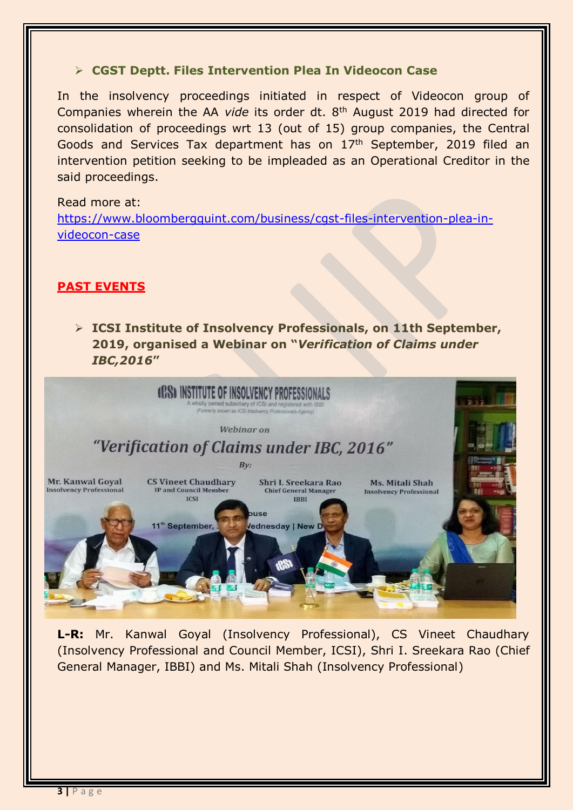#### **CGST Deptt. Files Intervention Plea In Videocon Case**

In the insolvency proceedings initiated in respect of Videocon group of Companies wherein the AA *vide* its order dt. 8th August 2019 had directed for consolidation of proceedings wrt 13 (out of 15) group companies, the Central Goods and Services Tax department has on 17th September, 2019 filed an intervention petition seeking to be impleaded as an Operational Creditor in the said proceedings.

#### Read more at:

[https://www.bloombergquint.com/business/cgst-files-intervention-plea-in](https://www.bloombergquint.com/business/cgst-files-intervention-plea-in-videocon-case)[videocon-case](https://www.bloombergquint.com/business/cgst-files-intervention-plea-in-videocon-case)

### **PAST EVENTS**

 **ICSI Institute of Insolvency Professionals, on 11th September, 2019, organised a Webinar on "***Verification of Claims under IBC,2016***"**



**L-R:** Mr. Kanwal Goyal (Insolvency Professional), CS Vineet Chaudhary (Insolvency Professional and Council Member, ICSI), Shri I. Sreekara Rao (Chief General Manager, IBBI) and Ms. Mitali Shah (Insolvency Professional)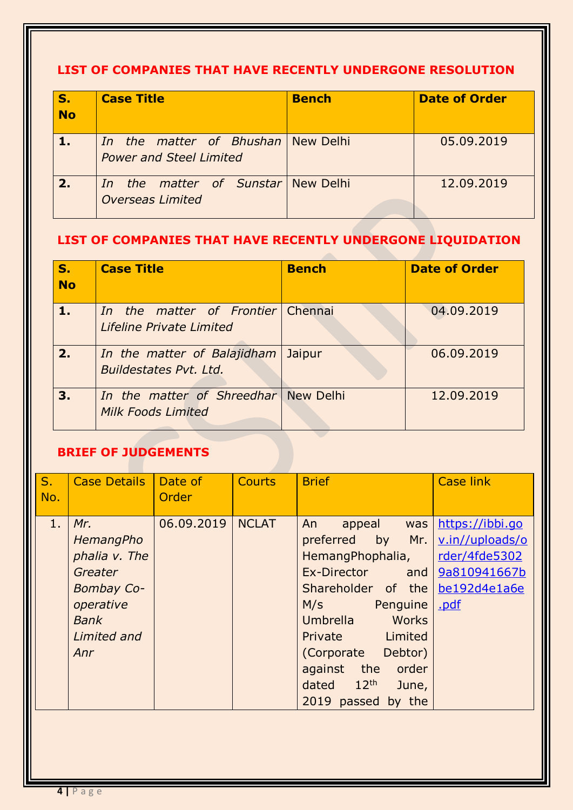## **LIST OF COMPANIES THAT HAVE RECENTLY UNDERGONE RESOLUTION**

| S.<br>No   | <b>Case Title</b>                                                       | <b>Bench</b> | <b>Date of Order</b> |
|------------|-------------------------------------------------------------------------|--------------|----------------------|
| $\sqrt{1}$ | In the matter of Bhushan New Delhi<br><b>Power and Steel Limited</b>    |              | 05.09.2019           |
| 2.         | the matter of Sunstar New Delhi<br><i>In</i><br><b>Overseas Limited</b> |              | 12.09.2019           |

## **LIST OF COMPANIES THAT HAVE RECENTLY UNDERGONE LIQUIDATION**

| S.<br><b>No</b> | <b>Case Title</b>                                                    | <b>Bench</b> | <b>Date of Order</b> |
|-----------------|----------------------------------------------------------------------|--------------|----------------------|
| 1.              | <i>In the matter of Frontier</i> Chennai<br>Lifeline Private Limited |              | 04.09.2019           |
| 2.1             | In the matter of Balajidham<br>Buildestates Pvt. Ltd.                | Jaipur       | 06.09.2019           |
| 3.              | In the matter of Shreedhar New Delhi<br><b>Milk Foods Limited</b>    |              | 12.09.2019           |

## **BRIEF OF JUDGEMENTS**

| S <sub>1</sub><br>No. | <b>Case Details</b>                                                                                                 | Date of<br>Order | <b>Courts</b> | <b>Brief</b>                                                                                                                                                                                                                                                                       | <b>Case link</b>                                                   |
|-----------------------|---------------------------------------------------------------------------------------------------------------------|------------------|---------------|------------------------------------------------------------------------------------------------------------------------------------------------------------------------------------------------------------------------------------------------------------------------------------|--------------------------------------------------------------------|
| 1.                    | Mr.<br>HemangPho<br>phalia v. The<br>Greater<br><b>Bombay Co-</b><br>operative<br><b>Bank</b><br>Limited and<br>Anr | 06.09.2019       | <b>NCLAT</b>  | An<br>appeal was<br>preferred<br>HemangPhophalia,<br>Ex-Director and 9a810941667b<br>Shareholder of the be192d4e1a6e<br>M/s<br>Penguine<br>Umbrella<br>Works<br>Limited<br>Private<br>Debtor)<br>(Corporate<br>against<br>the order<br>dated $12th$<br>June,<br>2019 passed by the | https://ibbi.go<br>by Mr. v.in//uploads/o<br>rder/4fde5302<br>.pdf |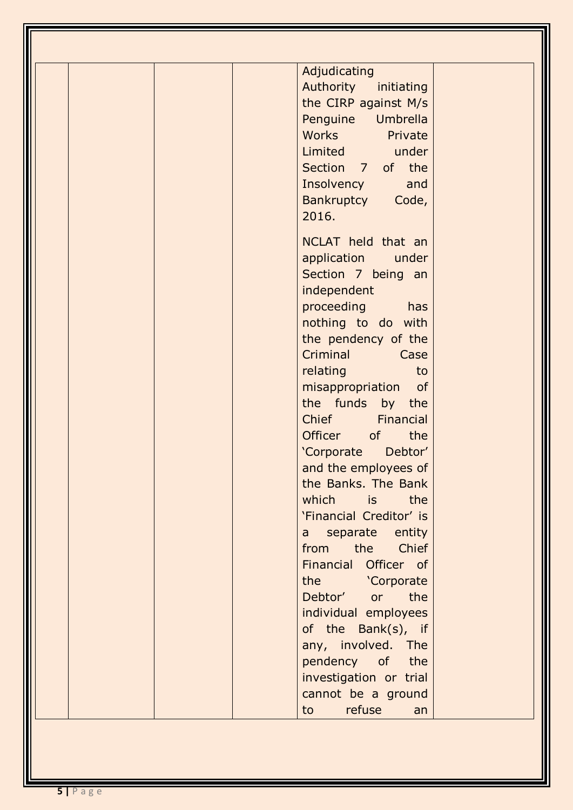| Adjudicating<br>Authority initiating<br>the CIRP against M/s<br>Penguine Umbrella<br><b>Works</b><br>Private<br>Limited under<br>Section 7 of the<br><b>Insolvency</b><br>and<br>Bankruptcy Code,<br>2016.                                                                                                                                                                                                                                        |
|---------------------------------------------------------------------------------------------------------------------------------------------------------------------------------------------------------------------------------------------------------------------------------------------------------------------------------------------------------------------------------------------------------------------------------------------------|
| NCLAT held that an<br>application<br>under<br>Section 7 being an<br>independent<br>proceeding has<br>nothing to do with<br>the pendency of the<br>Criminal<br>Case<br>relating<br>to<br>misappropriation<br>of<br>the funds by the<br><b>Chief</b><br>Financial<br>Officer<br>of<br>the<br>'Corporate<br>Debtor'<br>and the employees of<br>the Banks. The Bank<br>which is the<br>'Financial Creditor' is<br>a separate entity<br>from the Chief |
| Financial Officer of<br>the 'Corporate<br>Debtor' or the<br>individual employees<br>of the Bank(s), if<br>any, involved. The<br>pendency of the<br>investigation or trial<br>cannot be a ground<br>refuse<br>to to<br>an                                                                                                                                                                                                                          |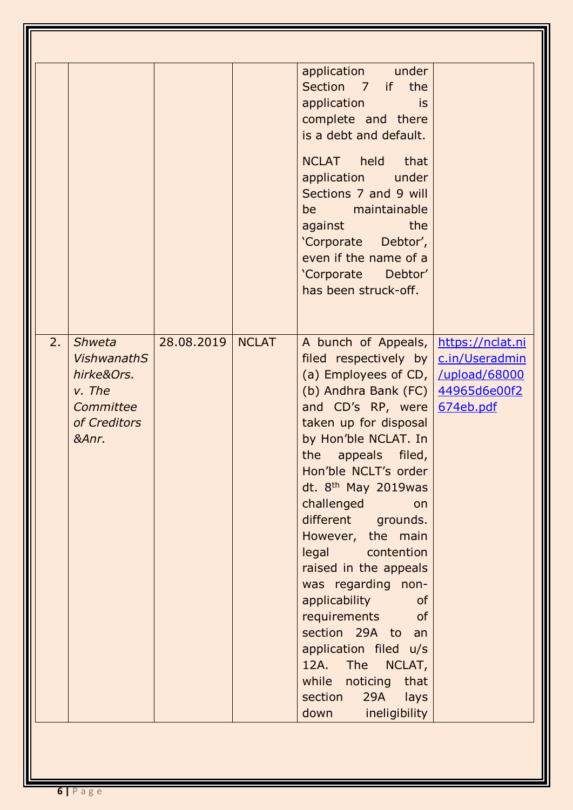|    |                                                                                                   |            |              | application under<br>Section 7 if the<br>application<br>is<br>complete and there<br>is a debt and default.<br>NCLAT held<br><b>that</b><br>application under<br>Sections 7 and 9 will<br>be maintainable<br>the<br>against and the set of the set of the set of the set of the set of the set of the set of the set of the set of<br>'Corporate Debtor',<br>even if the name of a<br>'Corporate Debtor'<br>has been struck-off.                                                                                                                                                                                                                                                           |           |
|----|---------------------------------------------------------------------------------------------------|------------|--------------|-------------------------------------------------------------------------------------------------------------------------------------------------------------------------------------------------------------------------------------------------------------------------------------------------------------------------------------------------------------------------------------------------------------------------------------------------------------------------------------------------------------------------------------------------------------------------------------------------------------------------------------------------------------------------------------------|-----------|
| 2. | <b>Shweta</b><br><b>VishwanathS</b><br>hirke&Ors.<br>v. The<br>Committee<br>of Creditors<br>&Anr. | 28.08.2019 | <b>NCLAT</b> | A bunch of Appeals,   https://nclat.ni<br>filed respectively by $\lfloor$ c.in/Useradmin<br>(a) Employees of CD,   /upload/68000<br>(b) Andhra Bank (FC) $44965d6e00f2$<br>and CD's RP, were<br>taken up for disposal<br>by Hon'ble NCLAT. In<br>the<br>appeals filed,<br>Hon'ble NCLT's order<br>dt. 8 <sup>th</sup> May 2019was<br>challenged<br>on<br>different grounds.<br>However, the main<br>legal contention<br>raised in the appeals<br>was regarding non-<br>applicability<br><b>of</b><br>requirements<br><b>of</b><br>section 29A to an<br>application filed u/s<br><b>The</b><br>12A.<br>NCLAT,<br>while noticing<br>that<br>29A<br>section<br>lays<br>down<br>ineligibility | 674eb.pdf |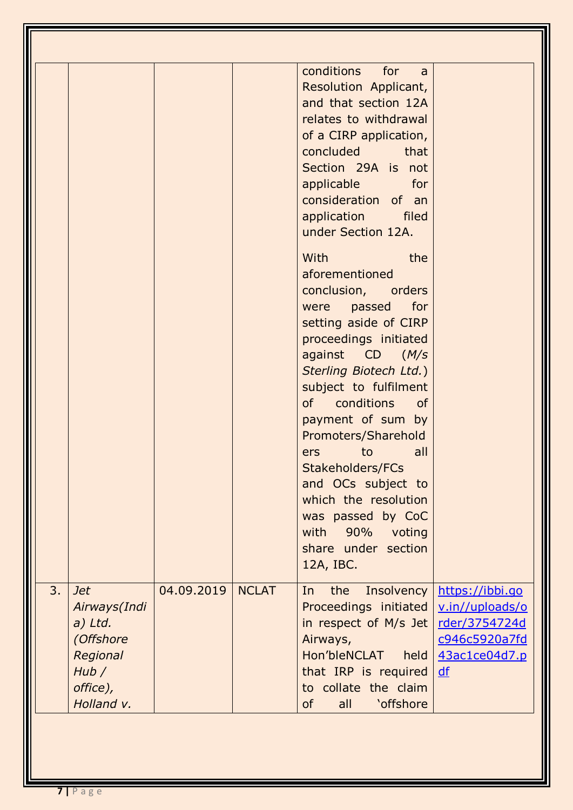|    |                                                                                                     |            |              | conditions for<br>a a<br>Resolution Applicant,<br>and that section 12A<br>relates to withdrawal<br>of a CIRP application,<br>concluded that<br>Section 29A is not<br>applicable for<br>consideration of an<br>application<br>filed<br>under Section 12A.<br>With<br>the<br>aforementioned<br>conclusion, orders<br>were passed for<br>setting aside of CIRP<br>proceedings initiated<br>against CD (M/s<br>Sterling Biotech Ltd.)<br>subject to fulfilment<br>conditions<br>of<br><b>of</b><br>payment of sum by<br>Promoters/Sharehold<br>all<br>to<br>ers<br>Stakeholders/FCs<br>and OCs subject to<br>which the resolution<br>was passed by CoC<br>with<br>90%<br>voting<br>share under section<br>12A, IBC. |                                                                                             |
|----|-----------------------------------------------------------------------------------------------------|------------|--------------|-----------------------------------------------------------------------------------------------------------------------------------------------------------------------------------------------------------------------------------------------------------------------------------------------------------------------------------------------------------------------------------------------------------------------------------------------------------------------------------------------------------------------------------------------------------------------------------------------------------------------------------------------------------------------------------------------------------------|---------------------------------------------------------------------------------------------|
| 3. | <b>Jet</b><br>Airways(Indi<br>$a)$ Ltd.<br>(Offshore<br>Regional<br>Hub /<br>office),<br>Holland v. | 04.09.2019 | <b>NCLAT</b> | the<br>Insolvency<br>In<br>Proceedings initiated<br>in respect of M/s Jet<br>Airways,<br>Hon'bleNCLAT held<br>that IRP is required<br>to collate the claim<br><b>of</b><br>all<br><b>'offshore</b>                                                                                                                                                                                                                                                                                                                                                                                                                                                                                                              | https://ibbi.go<br>v.in//uploads/o<br>rder/3754724d<br>c946c5920a7fd<br>43ac1ce04d7.p<br>df |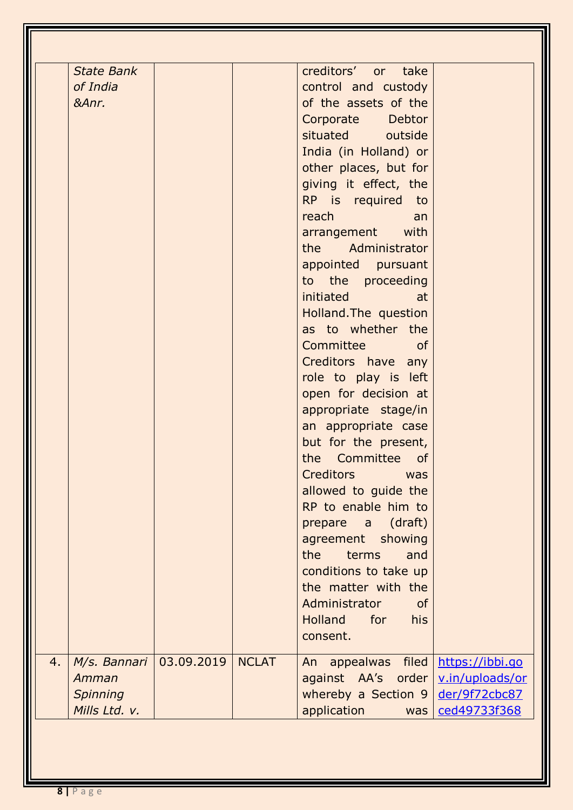|    | Amman<br><b>Spinning</b><br>Mills Ltd. v.                |            |              | An appealwas filed<br>against AA's order<br>whereby a Section 9<br>application<br>was                                                                                                                                                                                                                                                                                                                                                                                                                                                                                                                                                                                                                                                                                                                                                            | https://ibbi.go<br>v.in/uploads/or<br>der/9f72cbc87<br>ced49733f368 |
|----|----------------------------------------------------------|------------|--------------|--------------------------------------------------------------------------------------------------------------------------------------------------------------------------------------------------------------------------------------------------------------------------------------------------------------------------------------------------------------------------------------------------------------------------------------------------------------------------------------------------------------------------------------------------------------------------------------------------------------------------------------------------------------------------------------------------------------------------------------------------------------------------------------------------------------------------------------------------|---------------------------------------------------------------------|
| 4. | <b>State Bank</b><br>of India<br>&Anr.<br>$M/s.$ Bannari | 03.09.2019 | <b>NCLAT</b> | creditors' or take<br>control and custody<br>of the assets of the<br>Corporate Debtor<br>situated outside<br>India (in Holland) or<br>other places, but for<br>giving it effect, the<br>RP is required to<br>reach<br>an<br>arrangement with<br>the Administrator<br>appointed pursuant<br>to the proceeding<br><b>initiated initiated</b><br>at<br>Holland. The question<br>as to whether the<br>Committee of<br>Creditors have any<br>role to play is left<br>open for decision at<br>appropriate stage/in<br>an appropriate case<br>but for the present,<br>the Committee<br><b>of</b><br>Creditors<br>was<br>allowed to guide the<br>RP to enable him to<br>prepare a (draft)<br>agreement showing<br>the<br>and<br>terms<br>conditions to take up<br>the matter with the<br>Administrator<br><b>of</b><br>Holland<br>for<br>his<br>consent. |                                                                     |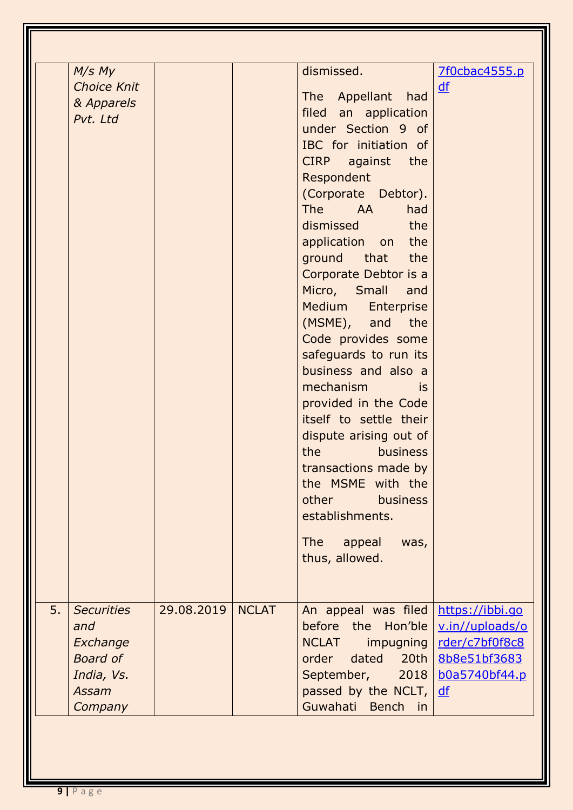| M/s My<br><b>Choice Knit</b><br>& Apparels<br>Pvt. Ltd                                          |            |              | dismissed.<br>The Appellant<br>had<br>filed an application<br>under Section 9 of<br>IBC for initiation of<br>CIRP against<br>the<br>Respondent<br>(Corporate Debtor).<br>had<br><b>The</b><br><b>AA</b><br>dismissed<br>the<br>application on the<br>ground that the<br>Corporate Debtor is a<br>Micro, Small<br>and<br>Medium<br>Enterprise<br>(MSME), and the<br>Code provides some<br>safeguards to run its<br>business and also a<br>mechanism<br>is<br>provided in the Code<br>itself to settle their<br>dispute arising out of<br>the<br><b>business</b><br>transactions made by<br>the MSME with the<br>other<br><b>business</b><br>establishments.<br><b>The</b><br>appeal<br>was,<br>thus, allowed. | 7f0cbac4555.p<br>$\underline{df}$                                        |
|-------------------------------------------------------------------------------------------------|------------|--------------|--------------------------------------------------------------------------------------------------------------------------------------------------------------------------------------------------------------------------------------------------------------------------------------------------------------------------------------------------------------------------------------------------------------------------------------------------------------------------------------------------------------------------------------------------------------------------------------------------------------------------------------------------------------------------------------------------------------|--------------------------------------------------------------------------|
| 5.<br><b>Securities</b><br>and<br>Exchange<br><b>Board of</b><br>India, Vs.<br>Assam<br>Company | 29.08.2019 | <b>NCLAT</b> | An appeal was filed   https://ibbi.go<br>before the Hon'ble<br><b>NCLAT</b><br>impugning<br>dated<br>20th<br>order<br>September,<br>2018<br>passed by the NCLT,<br>Guwahati Bench in                                                                                                                                                                                                                                                                                                                                                                                                                                                                                                                         | v.in//uploads/o<br>rder/c7bf0f8c8<br>8b8e51bf3683<br>b0a5740bf44.p<br>df |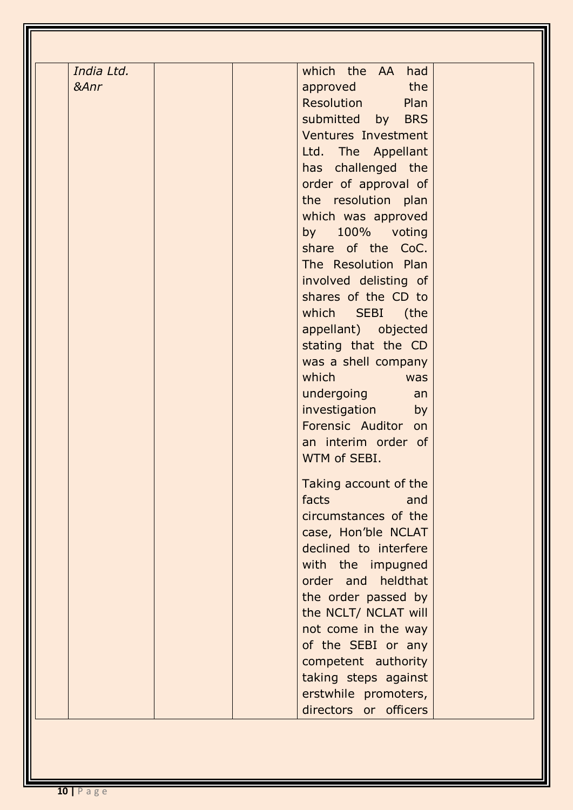| India Ltd. | which the AA had           |
|------------|----------------------------|
| &Anr       | the<br>approved            |
|            | Resolution<br>Plan         |
|            | submitted by BRS           |
|            | <b>Ventures Investment</b> |
|            | Ltd. The Appellant         |
|            | has challenged the         |
|            | order of approval of       |
|            | the resolution plan        |
|            | which was approved         |
|            | by 100% voting             |
|            | share of the CoC.          |
|            | The Resolution Plan        |
|            | involved delisting of      |
|            | shares of the CD to        |
|            | which SEBI (the            |
|            | appellant) objected        |
|            |                            |
|            | stating that the CD        |
|            | was a shell company        |
|            | which<br>was               |
|            | undergoing<br>an           |
|            | investigation<br>by        |
|            | Forensic Auditor on        |
|            | an interim order of        |
|            | WTM of SEBI.               |
|            | Taking account of the      |
|            | facts<br>and               |
|            | circumstances of the       |
|            | case, Hon'ble NCLAT        |
|            | declined to interfere      |
|            | with the impugned          |
|            | order and heldthat         |
|            | the order passed by        |
|            | the NCLT/ NCLAT will       |
|            | not come in the way        |
|            | of the SEBI or any         |
|            | competent authority        |
|            | taking steps against       |
|            | erstwhile promoters,       |
|            | directors or officers      |
|            |                            |